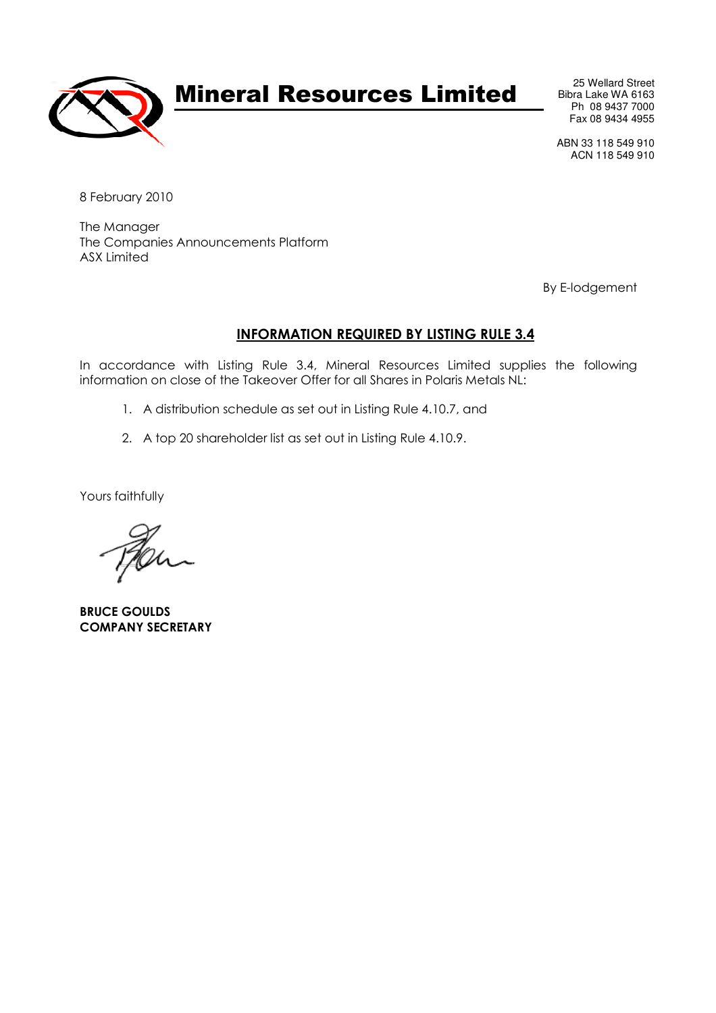

# Mineral Resources Limited

25 Wellard Street Bibra Lake WA 6163 Ph 08 9437 7000 Fax 08 9434 4955

ABN 33 118 549 910 ACN 118 549 910

8 February 2010

The Manager The Companies Announcements Platform ASX Limited

By E-lodgement

# INFORMATION REQUIRED BY LISTING RULE 3.4

In accordance with Listing Rule 3.4, Mineral Resources Limited supplies the following information on close of the Takeover Offer for all Shares in Polaris Metals NL:

- 1. A distribution schedule as set out in Listing Rule 4.10.7, and
- 2. A top 20 shareholder list as set out in Listing Rule 4.10.9.

Yours faithfully

BRUCE GOULDS COMPANY SECRETARY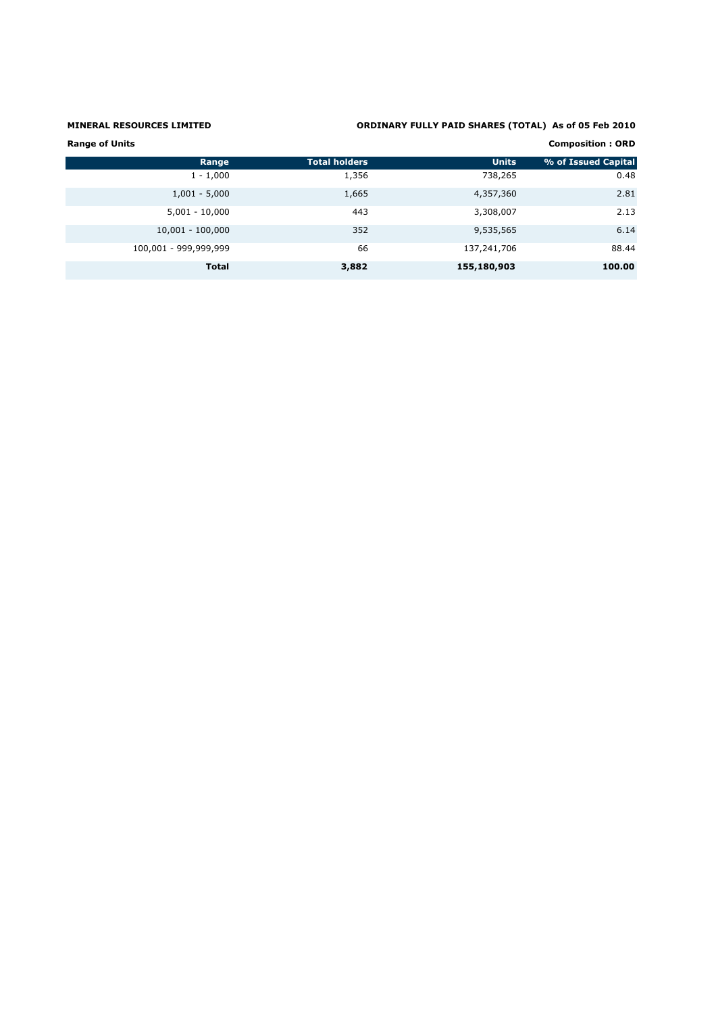# MINERAL RESOURCES LIMITED ORDINARY FULLY PAID SHARES (TOTAL) As of 05 Feb 2010

| <b>Range of Units</b><br><b>Composition: ORD</b> |                      |              |                     |  |
|--------------------------------------------------|----------------------|--------------|---------------------|--|
| Range                                            | <b>Total holders</b> | <b>Units</b> | % of Issued Capital |  |
| $1 - 1,000$                                      | 1,356                | 738,265      | 0.48                |  |
| $1,001 - 5,000$                                  | 1,665                | 4,357,360    | 2.81                |  |
| $5,001 - 10,000$                                 | 443                  | 3,308,007    | 2.13                |  |
| $10,001 - 100,000$                               | 352                  | 9,535,565    | 6.14                |  |
| 100,001 - 999,999,999                            | 66                   | 137,241,706  | 88.44               |  |
| <b>Total</b>                                     | 3,882                | 155,180,903  | 100.00              |  |